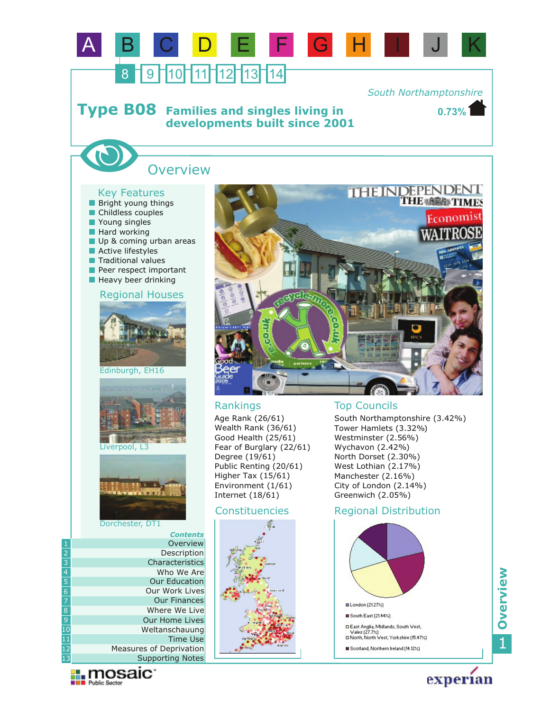

*South Northamptonshire*

**0.73%**

#### **Families and singles living in developments built since 2001 Type B08**

# **Overview**

## Key Features

- **Bright young things**
- Childless couples
- Young singles
- **Hard working**
- Up & coming urban areas
- **Active lifestyles**
- **Traditional values**
- Peer respect important
- **Heavy beer drinking**

#### Regional Houses









#### Dorchester, DT1

|                | <b>Contents</b>         |
|----------------|-------------------------|
| 1              | Overview                |
| $\overline{2}$ | Description             |
| $\overline{3}$ | Characteristics         |
| $\overline{4}$ | Who We Are              |
| $\overline{5}$ | <b>Our Education</b>    |
| $\overline{6}$ | Our Work Lives          |
| $\overline{7}$ | <b>Our Finances</b>     |
| $\overline{8}$ | Where We Live           |
| $\overline{9}$ | <b>Our Home Lives</b>   |
| 10             | Weltanschauung          |
| 11             | Time Use                |
| 12             | Measures of Deprivation |
| 13             | <b>Supporting Notes</b> |

**Exploration** 



Age Rank (26/61) Wealth Rank (36/61) Good Health (25/61) Fear of Burglary (22/61) Degree (19/61) Public Renting (20/61) Higher Tax (15/61) Environment (1/61) Internet (18/61)

## Constituencies



## Rankings Top Councils

South Northamptonshire (3.42%) Tower Hamlets (3.32%) Westminster (2.56%) Wychavon (2.42%) North Dorset (2.30%) West Lothian (2.17%) Manchester (2.16%) City of London (2.14%) Greenwich (2.05%)

## Regional Distribution





experian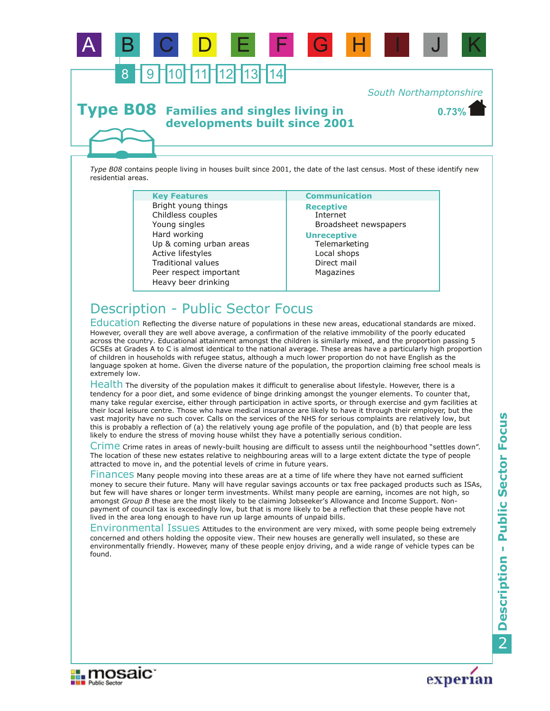

**developments built since 2001**

*Type B08* contains people living in houses built since 2001, the date of the last census. Most of these identify new residential areas.

A B C D E F G H I J K

| <b>Key Features</b>                                                                                                                                                                                     | <b>Communication</b>                                                                                                                    |
|---------------------------------------------------------------------------------------------------------------------------------------------------------------------------------------------------------|-----------------------------------------------------------------------------------------------------------------------------------------|
| Bright young things<br>Childless couples<br>Young singles<br>Hard working<br>Up & coming urban areas<br>Active lifestyles<br><b>Traditional values</b><br>Peer respect important<br>Heavy beer drinking | <b>Receptive</b><br>Internet<br>Broadsheet newspapers<br><b>Unreceptive</b><br>Telemarketing<br>Local shops<br>Direct mail<br>Magazines |

# Description - Public Sector Focus

Education Reflecting the diverse nature of populations in these new areas, educational standards are mixed. However, overall they are well above average, a confirmation of the relative immobility of the poorly educated across the country. Educational attainment amongst the children is similarly mixed, and the proportion passing 5 GCSEs at Grades A to C is almost identical to the national average. These areas have a particularly high proportion of children in households with refugee status, although a much lower proportion do not have English as the language spoken at home. Given the diverse nature of the population, the proportion claiming free school meals is extremely low.

Health The diversity of the population makes it difficult to generalise about lifestyle. However, there is a tendency for a poor diet, and some evidence of binge drinking amongst the younger elements. To counter that, many take regular exercise, either through participation in active sports, or through exercise and gym facilities at their local leisure centre. Those who have medical insurance are likely to have it through their employer, but the vast majority have no such cover. Calls on the services of the NHS for serious complaints are relatively low, but this is probably a reflection of (a) the relatively young age profile of the population, and (b) that people are less likely to endure the stress of moving house whilst they have a potentially serious condition.

Crime crime rates in areas of newly-built housing are difficult to assess until the neighbourhood "settles down". The location of these new estates relative to neighbouring areas will to a large extent dictate the type of people attracted to move in, and the potential levels of crime in future years.

Finances Many people moving into these areas are at a time of life where they have not earned sufficient money to secure their future. Many will have regular savings accounts or tax free packaged products such as ISAs, but few will have shares or longer term investments. Whilst many people are earning, incomes are not high, so amongst *Group B* these are the most likely to be claiming Jobseeker's Allowance and Income Support. Nonpayment of council tax is exceedingly low, but that is more likely to be a reflection that these people have not lived in the area long enough to have run up large amounts of unpaid bills.

Environmental Issues Attitudes to the environment are very mixed, with some people being extremely concerned and others holding the opposite view. Their new houses are generally well insulated, so these are environmentally friendly. However, many of these people enjoy driving, and a wide range of vehicle types can be found.





**0.73%**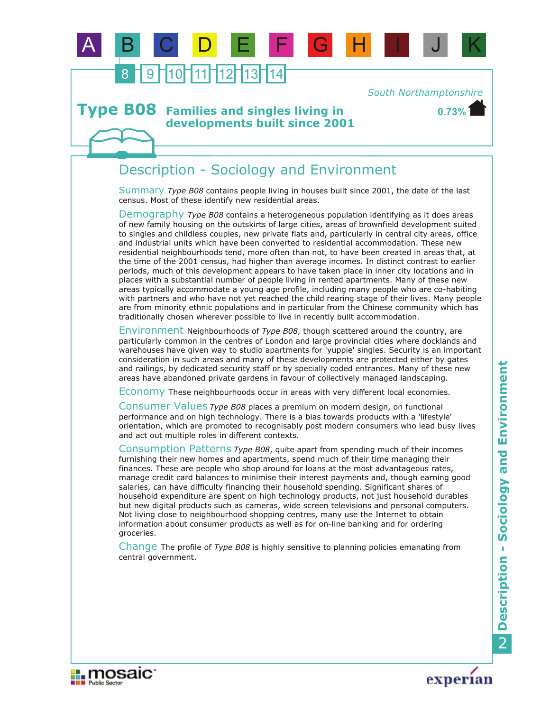

*South Northamptonshire*

**0.73%**

#### **Families and singles living in developments built since 2001 Type B08**

## Description - Sociology and Environment

Summary *Type B08* contains people living in houses built since 2001, the date of the last census. Most of these identify new residential areas.

Demography Type B08 contains a heterogeneous population identifying as it does areas of new family housing on the outskirts of large cities, areas of brownfield development suited to singles and childless couples, new private flats and, particularly in central city areas, office and industrial units which have been converted to residential accommodation. These new residential neighbourhoods tend, more often than not, to have been created in areas that, at the time of the 2001 census, had higher than average incomes. In distinct contrast to earlier periods, much of this development appears to have taken place in inner city locations and in places with a substantial number of people living in rented apartments. Many of these new areas typically accommodate a young age profile, including many people who are co-habiting with partners and who have not yet reached the child rearing stage of their lives. Many people are from minority ethnic populations and in particular from the Chinese community which has traditionally chosen wherever possible to live in recently built accommodation.

Environment Neighbourhoods of *Type B08*, though scattered around the country, are particularly common in the centres of London and large provincial cities where docklands and warehouses have given way to studio apartments for 'yuppie' singles. Security is an important consideration in such areas and many of these developments are protected either by gates and railings, by dedicated security staff or by specially coded entrances. Many of these new areas have abandoned private gardens in favour of collectively managed landscaping.

Economy These neighbourhoods occur in areas with very different local economies.

Consumer Values *Type B08* places a premium on modern design, on functional performance and on high technology. There is a bias towards products with a 'lifestyle' orientation, which are promoted to recognisably post modern consumers who lead busy lives and act out multiple roles in different contexts.

Consumption Patterns *Type B08*, quite apart from spending much of their incomes furnishing their new homes and apartments, spend much of their time managing their finances. These are people who shop around for loans at the most advantageous rates, manage credit card balances to minimise their interest payments and, though earning good salaries, can have difficulty financing their household spending. Significant shares of household expenditure are spent on high technology products, not just household durables but new digital products such as cameras, wide screen televisions and personal computers. Not living close to neighbourhood shopping centres, many use the Internet to obtain information about consumer products as well as for on-line banking and for ordering groceries.

Change The profile of *Type B08* is highly sensitive to planning policies emanating from central government.